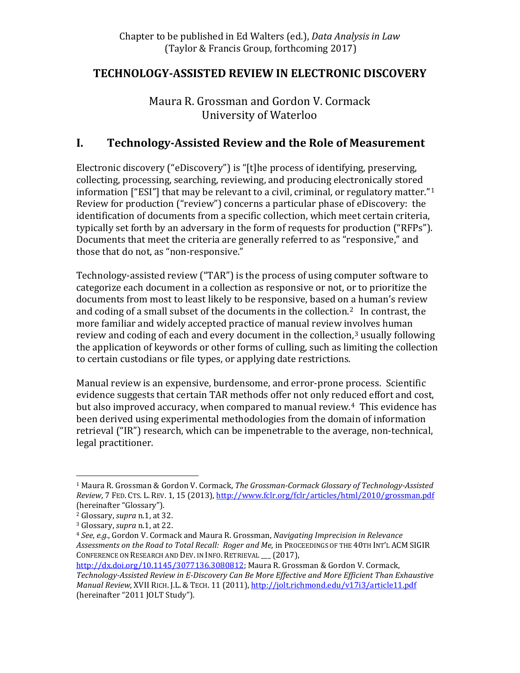### **TECHNOLOGY-ASSISTED REVIEW IN ELECTRONIC DISCOVERY**

### Maura R. Grossman and Gordon V. Cormack University of Waterloo

### **I. Technology-Assisted Review and the Role of Measurement**

Electronic discovery ("eDiscovery") is "[t]he process of identifying, preserving, collecting, processing, searching, reviewing, and producing electronically stored information ["ESI"] that may be relevant to a civil, criminal, or regulatory matter."<sup>[1](#page-0-0)</sup> Review for production ("review") concerns a particular phase of eDiscovery: the identification of documents from a specific collection, which meet certain criteria, typically set forth by an adversary in the form of requests for production ("RFPs"). Documents that meet the criteria are generally referred to as "responsive," and those that do not, as "non-responsive."

Technology-assisted review ("TAR") is the process of using computer software to categorize each document in a collection as responsive or not, or to prioritize the documents from most to least likely to be responsive, based on a human's review and coding of a small subset of the documents in the collection.<sup>[2](#page-0-1)</sup> In contrast, the more familiar and widely accepted practice of manual review in[vo](#page-0-2)lves human review and coding of each and every document in the collection, <sup>3</sup> usually following the application of keywords or other forms of culling, such as limiting the collection to certain custodians or file types, or applying date restrictions.

Manual review is an expensive, burdensome, and error-prone process. Scientific evidence suggests that certain TAR methods offer not only reduced effort and cost, but also improved accuracy, when compared to manual review.<sup>[4](#page-0-3)</sup> This evidence has been derived using experimental methodologies from the domain of information retrieval ("IR") research, which can be impenetrable to the average, non-technical, legal practitioner.

<span id="page-0-0"></span> <sup>1</sup> Maura R. Grossman & Gordon V. Cormack, *The Grossman-Cormack Glossary of Technology-Assisted Review*, 7 FED. CTS. L. REV. 1, 15 (2013),<http://www.fclr.org/fclr/articles/html/2010/grossman.pdf> (hereinafter "Glossary").

<span id="page-0-1"></span><sup>2</sup> Glossary, *supra* n.1, at 32.

<span id="page-0-2"></span><sup>3</sup> Glossary, *supra* n.1, at 22.

<span id="page-0-3"></span><sup>4</sup> *See*, *e.g.*, Gordon V. Cormack and Maura R. Grossman, *Navigating Imprecision in Relevance Assessments on the Road to Total Recall: Roger and Me*, in PROCEEDINGS OF THE 40TH INT'L ACM SIGIR CONFERENCE ON RESEARCH AND DEV. IN INFO. RETRIEVAL \_\_\_ (2017),

[http://dx.doi.org/10.1145/3077136.3080812;](http://dx.doi.org/10.1145/3077136.3080812) Maura R. Grossman & Gordon V. Cormack, *Technology-Assisted Review in E-Discovery Can Be More Effective and More Efficient Than Exhaustive Manual Review*, XVII RICH. J.L. & TECH. 11 (2011),<http://jolt.richmond.edu/v17i3/article11.pdf> (hereinafter "2011 JOLT Study").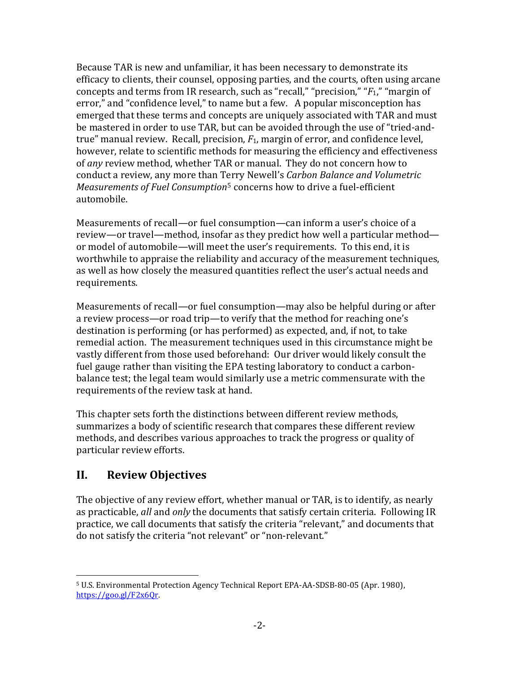Because TAR is new and unfamiliar, it has been necessary to demonstrate its efficacy to clients, their counsel, opposing parties, and the courts, often using arcane concepts and terms from IR research, such as "recall," "precision," "*F*1," "margin of error," and "confidence level," to name but a few. A popular misconception has emerged that these terms and concepts are uniquely associated with TAR and must be mastered in order to use TAR, but can be avoided through the use of "tried-andtrue" manual review. Recall, precision, *F*1, margin of error, and confidence level, however, relate to scientific methods for measuring the efficiency and effectiveness of *any* review method, whether TAR or manual. They do not concern how to conduct a review, any more than T[er](#page-1-0)ry Newell's *Carbon Balance and Volumetric Measurements of Fuel Consumption*<sup>5</sup> concerns how to drive a fuel-efficient automobile.

Measurements of recall—or fuel consumption—can inform a user's choice of a review—or travel—method, insofar as they predict how well a particular method or model of automobile—will meet the user's requirements. To this end, it is worthwhile to appraise the reliability and accuracy of the measurement techniques, as well as how closely the measured quantities reflect the user's actual needs and requirements.

Measurements of recall—or fuel consumption—may also be helpful during or after a review process—or road trip—to verify that the method for reaching one's destination is performing (or has performed) as expected, and, if not, to take remedial action. The measurement techniques used in this circumstance might be vastly different from those used beforehand: Our driver would likely consult the fuel gauge rather than visiting the EPA testing laboratory to conduct a carbonbalance test; the legal team would similarly use a metric commensurate with the requirements of the review task at hand.

This chapter sets forth the distinctions between different review methods, summarizes a body of scientific research that compares these different review methods, and describes various approaches to track the progress or quality of particular review efforts.

## **II. Review Objectives**

The objective of any review effort, whether manual or TAR, is to identify, as nearly as practicable, *all* and *only* the documents that satisfy certain criteria. Following IR practice, we call documents that satisfy the criteria "relevant," and documents that do not satisfy the criteria "not relevant" or "non-relevant."

<span id="page-1-0"></span> <sup>5</sup> U.S. Environmental Protection Agency Technical Report EPA-AA-SDSB-80-05 (Apr. 1980), [https://goo.gl/F2x6Qr.](https://goo.gl/F2x6Qr)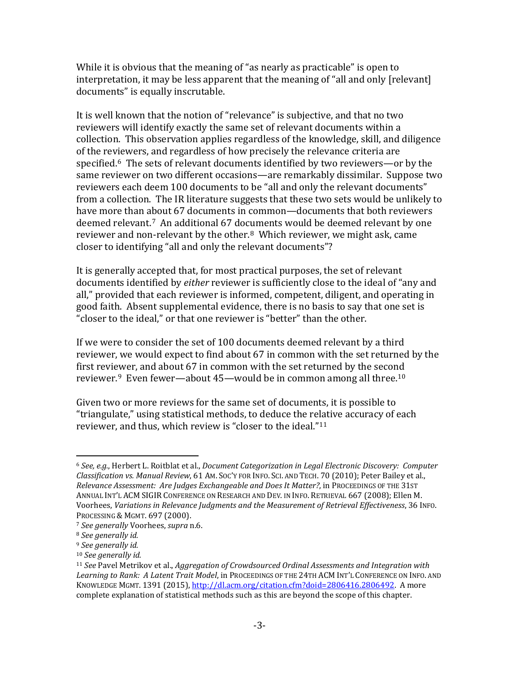While it is obvious that the meaning of "as nearly as practicable" is open to interpretation, it may be less apparent that the meaning of "all and only [relevant] documents" is equally inscrutable.

It is well known that the notion of "relevance" is subjective, and that no two reviewers will identify exactly the same set of relevant documents within a collection. This observation applies regardless of the knowledge, skill, and diligence of the reviewers, and regardless of how precisely the relevance criteria are specified. [6](#page-2-0) The sets of relevant documents identified by two reviewers—or by the same reviewer on two different occasions—are remarkably dissimilar. Suppose two reviewers each deem 100 documents to be "all and only the relevant documents" from a collection. The IR literature suggests that these two sets would be unlikely to have more than about 67 documents in common—documents that both reviewers deemed relevant.[7](#page-2-1) An additional 67 documents would be deemed relevant by one reviewer and non-relevant by the other.<sup>[8](#page-2-2)</sup> Which reviewer, we might ask, came closer to identifying "all and only the relevant documents"?

It is generally accepted that, for most practical purposes, the set of relevant documents identified by *either* reviewer is sufficiently close to the ideal of "any and all," provided that each reviewer is informed, competent, diligent, and operating in good faith. Absent supplemental evidence, there is no basis to say that one set is "closer to the ideal," or that one reviewer is "better" than the other.

If we were to consider the set of 100 documents deemed relevant by a third reviewer, we would expect to find about 67 in common with the set returned by the first reviewer, and about 67 in common with the set returned by the second reviewer.<sup>9</sup> Even fewer—about  $45$ —would be in common among all three.<sup>[10](#page-2-4)</sup>

Given two or more reviews for the same set of documents, it is possible to "triangulate," using statistical methods, to deduce the relative accuracy of each reviewer, and thus, which review is "closer to the ideal."[11](#page-2-5)

<span id="page-2-0"></span> <sup>6</sup> *See, e.g.*, Herbert L. Roitblat et al., *Document Categorization in Legal Electronic Discovery: Computer Classification vs. Manual Review*, 61 AM. SOC'Y FOR INFO. SCI. AND TECH. 70 (2010); Peter Bailey et al., *Relevance Assessment: Are Judges Exchangeable and Does It Matter?*, in PROCEEDINGS OF THE 31ST ANNUAL INT'L ACM SIGIR CONFERENCE ON RESEARCH AND DEV. IN INFO. RETRIEVAL 667 (2008); Ellen M. Voorhees, *Variations in Relevance Judgments and the Measurement of Retrieval Effectiveness*, 36 INFO. PROCESSING & MGMT. 697 (2000).

<span id="page-2-1"></span><sup>7</sup> *See generally* Voorhees, *supra* n.6.

<span id="page-2-2"></span><sup>8</sup> *See generally id.*

<span id="page-2-3"></span><sup>9</sup> *See generally id.*

<span id="page-2-4"></span><sup>10</sup> *See generally id.*

<span id="page-2-5"></span><sup>11</sup> *See* Pavel Metrikov et al., *Aggregation of Crowdsourced Ordinal Assessments and Integration with Learning to Rank: A Latent Trait Model*, in PROCEEDINGS OF THE 24TH ACM INT'L CONFERENCE ON INFO. AND KNOWLEDGE MGMT. 1391 (2015), [http://dl.acm.org/citation.cfm?doid=2806416.2806492.](http://dl.acm.org/citation.cfm?doid=2806416.2806492%20) A more complete explanation of statistical methods such as this are beyond the scope of this chapter.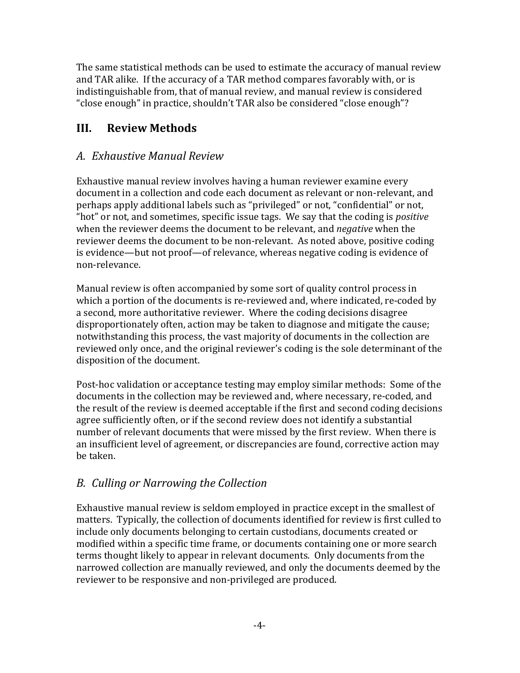The same statistical methods can be used to estimate the accuracy of manual review and TAR alike. If the accuracy of a TAR method compares favorably with, or is indistinguishable from, that of manual review, and manual review is considered "close enough" in practice, shouldn't TAR also be considered "close enough"?

# **III. Review Methods**

# *A. Exhaustive Manual Review*

Exhaustive manual review involves having a human reviewer examine every document in a collection and code each document as relevant or non-relevant, and perhaps apply additional labels such as "privileged" or not, "confidential" or not, "hot" or not, and sometimes, specific issue tags. We say that the coding is *positive*  when the reviewer deems the document to be relevant, and *negative* when the reviewer deems the document to be non-relevant. As noted above, positive coding is evidence—but not proof—of relevance, whereas negative coding is evidence of non-relevance.

Manual review is often accompanied by some sort of quality control process in which a portion of the documents is re-reviewed and, where indicated, re-coded by a second, more authoritative reviewer. Where the coding decisions disagree disproportionately often, action may be taken to diagnose and mitigate the cause; notwithstanding this process, the vast majority of documents in the collection are reviewed only once, and the original reviewer's coding is the sole determinant of the disposition of the document.

Post-hoc validation or acceptance testing may employ similar methods: Some of the documents in the collection may be reviewed and, where necessary, re-coded, and the result of the review is deemed acceptable if the first and second coding decisions agree sufficiently often, or if the second review does not identify a substantial number of relevant documents that were missed by the first review. When there is an insufficient level of agreement, or discrepancies are found, corrective action may be taken.

## *B. Culling or Narrowing the Collection*

Exhaustive manual review is seldom employed in practice except in the smallest of matters. Typically, the collection of documents identified for review is first culled to include only documents belonging to certain custodians, documents created or modified within a specific time frame, or documents containing one or more search terms thought likely to appear in relevant documents. Only documents from the narrowed collection are manually reviewed, and only the documents deemed by the reviewer to be responsive and non-privileged are produced.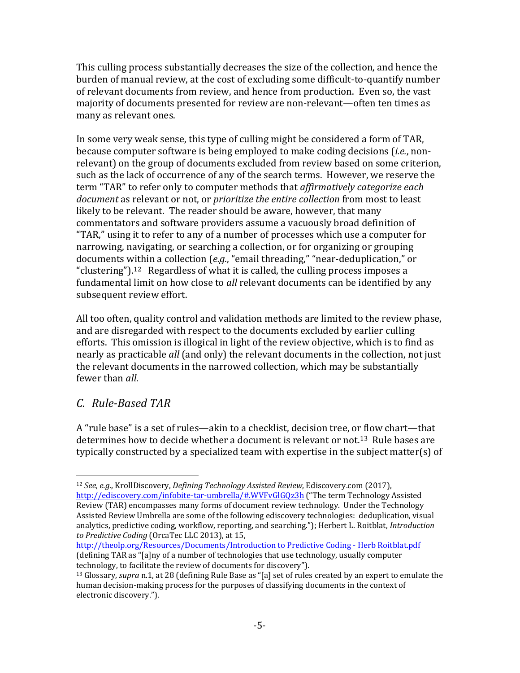This culling process substantially decreases the size of the collection, and hence the burden of manual review, at the cost of excluding some difficult-to-quantify number of relevant documents from review, and hence from production. Even so, the vast majority of documents presented for review are non-relevant—often ten times as many as relevant ones.

In some very weak sense, this type of culling might be considered a form of TAR, because computer software is being employed to make coding decisions (*i.e.*, nonrelevant) on the group of documents excluded from review based on some criterion, such as the lack of occurrence of any of the search terms. However, we reserve the term "TAR" to refer only to computer methods that *affirmatively categorize each document* as relevant or not, or *prioritize the entire collection* from most to least likely to be relevant. The reader should be aware, however, that many commentators and software providers assume a vacuously broad definition of "TAR," using it to refer to any of a number of processes which use a computer for narrowing, navigating, or searching a collection, or for organizing or grouping documents within a collection (*e.g.*, "email threading," "near-deduplication," or "clustering").[12](#page-4-0) Regardless of what it is called, the culling process imposes a fundamental limit on how close to *all* relevant documents can be identified by any subsequent review effort.

All too often, quality control and validation methods are limited to the review phase, and are disregarded with respect to the documents excluded by earlier culling efforts. This omission is illogical in light of the review objective, which is to find as nearly as practicable *all* (and only) the relevant documents in the collection, not just the relevant documents in the narrowed collection, which may be substantially fewer than *all*.

## *C. Rule-Based TAR*

A "rule base" is a set of rules—akin to a checklist, decision tree, or flow chart—that determines how to decide whether a document is relevant or not.<sup>[13](#page-4-1)</sup> Rule bases are typically constructed by a specialized team with expertise in the subject matter(s) of

<span id="page-4-0"></span> <sup>12</sup> *See*, *e.g.*, KrollDiscovery, *Defining Technology Assisted Review*, Ediscovery.com (2017), [http://ediscovery.com/infobite-tar-umbrella/#.WVFvGlGQz3h](http://ediscovery.com/infobite-tar-umbrella/%23.WVFvGlGQz3h) ("The term Technology Assisted Review (TAR) encompasses many forms of document review technology. Under the Technology Assisted Review Umbrella are some of the following ediscovery technologies: deduplication, visual analytics, predictive coding, workflow, reporting, and searching."); Herbert L. Roitblat, *Introduction to Predictive Coding* (OrcaTec LLC 2013), at 15,

[http://theolp.org/Resources/Documents/Introduction to Predictive Coding -](http://theolp.org/Resources/Documents/Introduction%20to%20Predictive%20Coding%20-%20Herb%20Roitblat.pdf) Herb Roitblat.pdf (defining TAR as "[a]ny of a number of technologies that use technology, usually computer technology, to facilitate the review of documents for discovery").

<span id="page-4-1"></span><sup>13</sup> Glossary, *supra* n.1, at 28 (defining Rule Base as "[a] set of rules created by an expert to emulate the human decision-making process for the purposes of classifying documents in the context of electronic discovery.").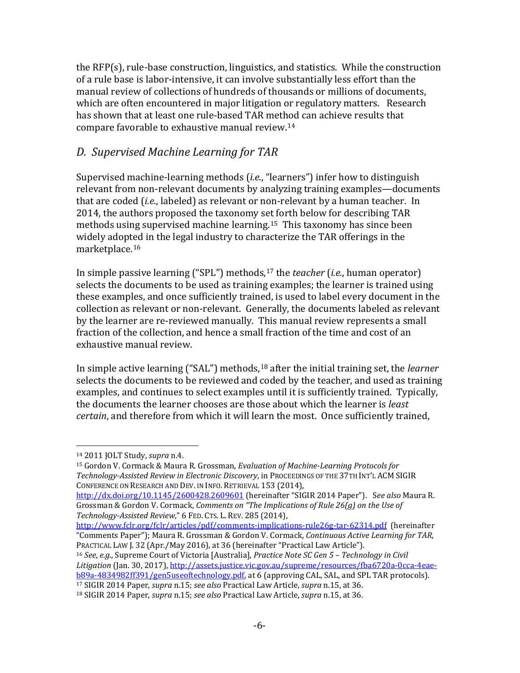the RFP(s), rule-base construction, linguistics, and statistics. While the construction of a rule base is labor-intensive, it can involve substantially less effort than the manual review of collections of hundreds of thousands or millions of documents, which are often encountered in major litigation or regulatory matters. Research has shown that at least one rule-based TAR method can achieve results that compare favorable to exhaustive manual review.[14](#page-5-0)

## *D. Supervised Machine Learning for TAR*

Supervised machine-learning methods (*i.e.*, "learners") infer how to distinguish relevant from non-relevant documents by analyzing training examples—documents that are coded (*i.e.*, labeled) as relevant or non-relevant by a human teacher. In 2014, the authors proposed the taxonomy set forth below for describing TAR methods using supervised machine learning.[15](#page-5-1) This taxonomy has since been widely adopted in the legal industry to characterize the TAR offerings in the marketplace.[16](#page-5-2) 

In simple passive learning ("SPL") methods, <sup>17</sup> the *teacher* (*i.e.*, human operator) selects the documents to be used as trainin[g e](#page-5-3)xamples; the learner is trained using these examples, and once sufficiently trained, is used to label every document in the collection as relevant or non-relevant. Generally, the documents labeled as relevant by the learner are re-reviewed manually. This manual review represents a small fraction of the collection, and hence a small fraction of the time and cost of an exhaustive manual review.

In simple active learning ("SAL") methods,<sup>[18](#page-5-4)</sup> after the initial training set, the *learner* selects the documents to be reviewed and coded by the teacher, and used as training examples, and continues to select examples until it is sufficiently trained. Typically, the documents the learner chooses are those about which the learner is *least certain*, and therefore from which it will learn the most. Once sufficiently trained,

<http://www.fclr.org/fclr/articles/pdf/comments-implications-rule26g-tar-62314.pdf>(hereinafter "Comments Paper"); Maura R. Grossman & Gordon V. Cormack, *Continuous Active Learning for TAR*,

<span id="page-5-2"></span><sup>16</sup> See, *e.g.*, Supreme Court of Victoria [Australia], *Practice Note SC Gen 5 – Technology in Civil Litigation* (Jan. 30, 2017)[, http://assets.justice.vic.gov.au/supreme/resources/fba6720a-0cca-4eae](http://assets.justice.vic.gov.au/supreme/resources/fba6720a-0cca-4eae-b89a-4834982ff391/gen5useoftechnology.pdf)[b89a-4834982ff391/gen5useoftechnology.pdf,](http://assets.justice.vic.gov.au/supreme/resources/fba6720a-0cca-4eae-b89a-4834982ff391/gen5useoftechnology.pdf) at 6 (approving CAL, SAL, and SPL TAR protocols). <sup>17</sup> SIGIR 2014 Paper, *supra* n.15; *see also* Practical Law Article, *supra* n.15, at 36.

<span id="page-5-0"></span> <sup>14</sup> 2011 JOLT Study, *supra* n.4.

<span id="page-5-1"></span><sup>15</sup> Gordon V. Cormack & Maura R. Grossman, *Evaluation of Machine-Learning Protocols for Technology-Assisted Review in Electronic Discovery*, in PROCEEDINGS OF THE 37TH INT'L ACM SIGIR CONFERENCE ON RESEARCH AND DEV. IN INFO. RETRIEVAL 153 (2014),

<http://dx.doi.org/10.1145/2600428.2609601> (hereinafter "SIGIR 2014 Paper"). S*ee also* Maura R. Grossman & Gordon V. Cormack, *Comments on "The Implications of Rule 26(g) on the Use of Technology-Assisted Review*," 6 FED. CTS. L. REV. 285 (2014),

<span id="page-5-4"></span><span id="page-5-3"></span><sup>18</sup> SIGIR 2014 Paper, *supra* n.15; *see also* Practical Law Article, *supra* n.15, at 36.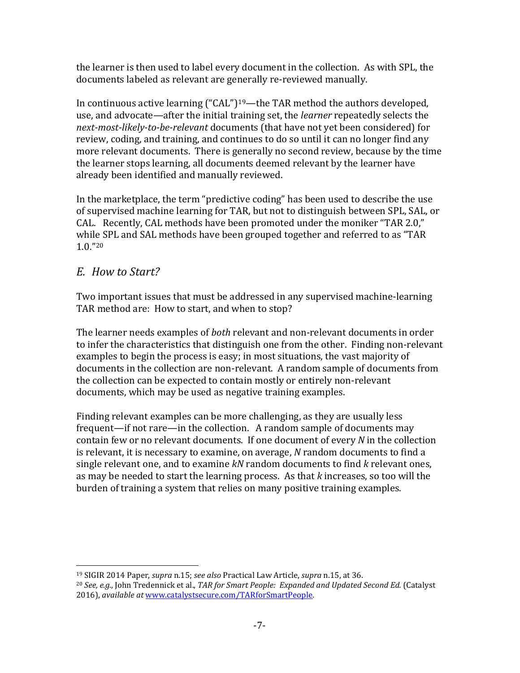the learner is then used to label every document in the collection. As with SPL, the documents labeled as relevant are generally re-reviewed manually.

In continuous active learning ("CAL")[19—](#page-6-0)the TAR method the authors developed, use, and advocate—after the initial training set, the *learner* repeatedly selects the *next-most-likely-to-be-relevant* documents (that have not yet been considered) for review, coding, and training, and continues to do so until it can no longer find any more relevant documents. There is generally no second review, because by the time the learner stops learning, all documents deemed relevant by the learner have already been identified and manually reviewed.

In the marketplace, the term "predictive coding" has been used to describe the use of supervised machine learning for TAR, but not to distinguish between SPL, SAL, or CAL. Recently, CAL methods have been promoted under the moniker "TAR 2.0," while SPL and SAL methods have been grouped together and referred to as "TAR 1.0."[20](#page-6-1)

### *E. How to Start?*

Two important issues that must be addressed in any supervised machine-learning TAR method are: How to start, and when to stop?

The learner needs examples of *both* relevant and non-relevant documents in order to infer the characteristics that distinguish one from the other. Finding non-relevant examples to begin the process is easy; in most situations, the vast majority of documents in the collection are non-relevant. A random sample of documents from the collection can be expected to contain mostly or entirely non-relevant documents, which may be used as negative training examples.

Finding relevant examples can be more challenging, as they are usually less frequent—if not rare—in the collection. A random sample of documents may contain few or no relevant documents. If one document of every *N* in the collection is relevant, it is necessary to examine, on average, *N* random documents to find a single relevant one, and to examine *kN* random documents to find *k* relevant ones, as may be needed to start the learning process. As that *k* increases, so too will the burden of training a system that relies on many positive training examples.

<span id="page-6-0"></span> <sup>19</sup> SIGIR 2014 Paper, *supra* n.15; *see also* Practical Law Article, *supra* n.15, at 36.

<span id="page-6-1"></span><sup>20</sup> *See, e.g.*, John Tredennick et al., *TAR for Smart People: Expanded and Updated Second Ed.* (Catalyst 2016), *available at* www.catalystsecure.com/TARforSmartPeople.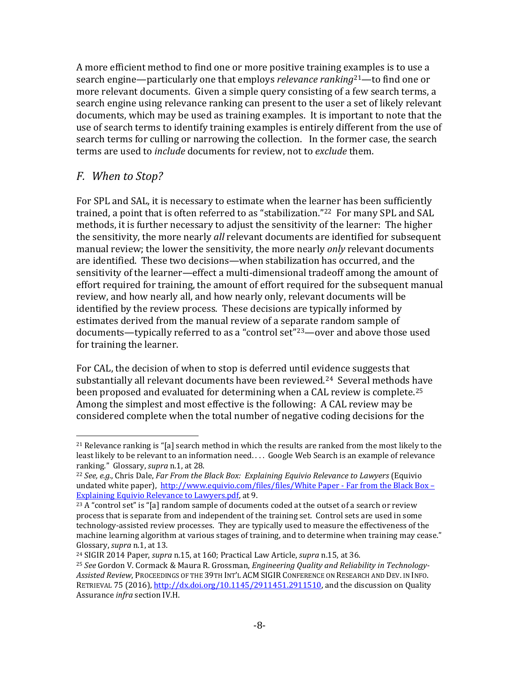A more efficient method to find one or more positive training examples is to use a search engine—particularly one that employs *relevance ranking*[21—](#page-7-0)to find one or more relevant documents. Given a simple query consisting of a few search terms, a search engine using relevance ranking can present to the user a set of likely relevant documents, which may be used as training examples. It is important to note that the use of search terms to identify training examples is entirely different from the use of search terms for culling or narrowing the collection. In the former case, the search terms are used to *include* documents for review, not to *exclude* them.

### *F. When to Stop?*

For SPL and SAL, it is necessary to estimate when the learner has been sufficiently trained, a point that is often referred to as "stabilization."[22](#page-7-1) For many SPL and SAL methods, it is further necessary to adjust the sensitivity of the learner: The higher the sensitivity, the more nearly *all* relevant documents are identified for subsequent manual review; the lower the sensitivity, the more nearly *only* relevant documents are identified. These two decisions—when stabilization has occurred, and the sensitivity of the learner—effect a multi-dimensional tradeoff among the amount of effort required for training, the amount of effort required for the subsequent manual review, and how nearly all, and how nearly only, relevant documents will be identified by the review process. These decisions are typically informed by estimates derived from the manual review of a separate random sample of documents—typically referred to as a "control set"[23—](#page-7-2)over and above those used for training the learner.

For CAL, the decision of when to stop is deferred until evidence suggests that substantially all relevant documents have been reviewed.<sup>24</sup> Several methods have been proposed and evaluated for determining when a CAL review is complete.<sup>25</sup> Among the simplest and most effective is the following: A CAL review may be considered complete when the total number of negative coding decisions for the

<span id="page-7-0"></span> $21$  Relevance ranking is "[a] search method in which the results are ranked from the most likely to the least likely to be relevant to an information need. . . . Google Web Search is an example of relevance ranking." Glossary, *supra* n.1, at 28.

<span id="page-7-1"></span><sup>22</sup> *See, e.g.*, Chris Dale, *Far From the Black Box: Explaining Equivio Relevance to Lawyers* (Equivio undated white paper), [http://www.equivio.com/files/files/White Paper -](http://www.equivio.com/files/files/White%20Paper%20-%20Far%20from%20the%20Black%20Box%20–%20Explaining%20Equivio%20Relevance%20to%20Lawyers.pdf) Far from the Black Box -[Explaining Equivio Relevance to Lawyers.pdf,](http://www.equivio.com/files/files/White%20Paper%20-%20Far%20from%20the%20Black%20Box%20–%20Explaining%20Equivio%20Relevance%20to%20Lawyers.pdf) at 9.

<span id="page-7-2"></span> $23$  A "control set" is "[a] random sample of documents coded at the outset of a search or review process that is separate from and independent of the training set. Control sets are used in some technology-assisted review processes. They are typically used to measure the effectiveness of the machine learning algorithm at various stages of training, and to determine when training may cease." Glossary, *supra* n.1, at 13.

<span id="page-7-3"></span><sup>24</sup> SIGIR 2014 Paper, *supra* n.15, at 160; Practical Law Article, *supra* n.15, at 36.

<span id="page-7-4"></span><sup>25</sup> *See* Gordon V. Cormack & Maura R. Grossman, *Engineering Quality and Reliability in Technology-Assisted Review*, PROCEEDINGS OF THE 39TH INT'L ACM SIGIR CONFERENCE ON RESEARCH AND DEV. IN INFO. RETRIEVAL 75 (2016)[, http://dx.doi.org/10.1145/2911451.2911510,](http://dx.doi.org/10.1145/2911451.2911510) and the discussion on Quality Assurance *infra* section IV.H.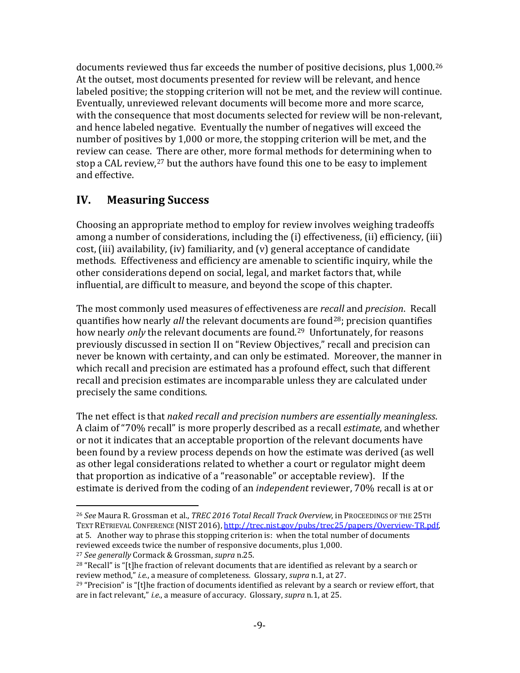documents reviewed thus far exceeds the number of positive decisions, plus 1,000.[26](#page-8-0)  At the outset, most documents presented for review will be relevant, and hence labeled positive; the stopping criterion will not be met, and the review will continue. Eventually, unreviewed relevant documents will become more and more scarce, with the consequence that most documents selected for review will be non-relevant, and hence labeled negative. Eventually the number of negatives will exceed the number of positives by 1,000 or more, the stopping criterion will be met, and the review can cease. There are other, more formal methods for determining when to stop a CAL review,<sup>[27](#page-8-1)</sup> but the authors have found this one to be easy to implement and effective.

## **IV. Measuring Success**

Choosing an appropriate method to employ for review involves weighing tradeoffs among a number of considerations, including the (i) effectiveness, (ii) efficiency, (iii) cost, (iii) availability, (iv) familiarity, and (v) general acceptance of candidate methods. Effectiveness and efficiency are amenable to scientific inquiry, while the other considerations depend on social, legal, and market factors that, while influential, are difficult to measure, and beyond the scope of this chapter.

The most commonly used measures of effectiveness are *recall* and *precision*. Recall quantifies how nearly *all* the relevant documents a[re](#page-8-3) found[28;](#page-8-2) precision quantifies how nearly *only* the relevant documents are found.29 Unfortunately, for reasons previously discussed in section II on "Review Objectives," recall and precision can never be known with certainty, and can only be estimated. Moreover, the manner in which recall and precision are estimated has a profound effect, such that different recall and precision estimates are incomparable unless they are calculated under precisely the same conditions.

The net effect is that *naked recall and precision numbers are essentially meaningless*. A claim of "70% recall" is more properly described as a recall *estimate*, and whether or not it indicates that an acceptable proportion of the relevant documents have been found by a review process depends on how the estimate was derived (as well as other legal considerations related to whether a court or regulator might deem that proportion as indicative of a "reasonable" or acceptable review). If the estimate is derived from the coding of an *independent* reviewer, 70% recall is at or

<span id="page-8-2"></span><span id="page-8-1"></span> $28$  "Recall" is "[t]he fraction of relevant documents that are identified as relevant by a search or review method," *i.e.*, a measure of completeness. Glossary, *supra* n.1, at 27.

<span id="page-8-0"></span> <sup>26</sup> *See* Maura R. Grossman et al., *TREC 2016 Total Recall Track Overview*, in PROCEEDINGS OF THE 25TH TEXT RETRIEVAL CONFERENCE (NIST 2016), [http://trec.nist.gov/pubs/trec25/papers/Overview-TR.pdf,](http://trec.nist.gov/pubs/trec25/papers/Overview-TR.pdf) at 5. Another way to phrase this stopping criterion is: when the total number of documents reviewed exceeds twice the number of responsive documents, plus 1,000. <sup>27</sup> *See generally* Cormack & Grossman, *supra* n.25.

<span id="page-8-3"></span> $^{29}$  "Precision" is "[t]he fraction of documents identified as relevant by a search or review effort, that are in fact relevant," *i.e.*, a measure of accuracy. Glossary, *supra* n.1, at 25.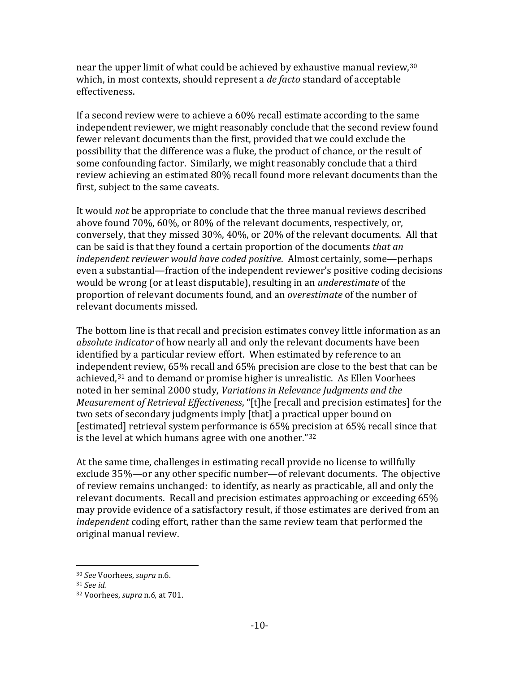near the upper limit of what could be achieved by exhaustive manual review,  $30<sup>30</sup>$  $30<sup>30</sup>$ which, in most contexts, should represent a *de facto* standard of acceptable effectiveness.

If a second review were to achieve a 60% recall estimate according to the same independent reviewer, we might reasonably conclude that the second review found fewer relevant documents than the first, provided that we could exclude the possibility that the difference was a fluke, the product of chance, or the result of some confounding factor. Similarly, we might reasonably conclude that a third review achieving an estimated 80% recall found more relevant documents than the first, subject to the same caveats.

It would *not* be appropriate to conclude that the three manual reviews described above found 70%, 60%, or 80% of the relevant documents, respectively, or, conversely, that they missed 30%, 40%, or 20% of the relevant documents. All that can be said is that they found a certain proportion of the documents *that an independent reviewer would have coded positive*. Almost certainly, some—perhaps even a substantial—fraction of the independent reviewer's positive coding decisions would be wrong (or at least disputable), resulting in an *underestimate* of the proportion of relevant documents found, and an *overestimate* of the number of relevant documents missed.

The bottom line is that recall and precision estimates convey little information as an *absolute indicator* of how nearly all and only the relevant documents have been identified by a particular review effort. When estimated by reference to an independent review, 65% recall and 65% precision are close to the best that can be achieved,[31](#page-9-1) and to demand or promise higher is unrealistic. As Ellen Voorhees noted in her seminal 2000 study, *Variations in Relevance Judgments and the Measurement of Retrieval Effectiveness*, "[t]he [recall and precision estimates] for the two sets of secondary judgments imply [that] a practical upper bound on [estimated] retrieval system performance is 65% precision at 65% recall since that is the level at which humans agree with one another."[32](#page-9-2)

At the same time, challenges in estimating recall provide no license to willfully exclude 35%—or any other specific number—of relevant documents. The objective of review remains unchanged: to identify, as nearly as practicable, all and only the relevant documents. Recall and precision estimates approaching or exceeding 65% may provide evidence of a satisfactory result, if those estimates are derived from an *independent* coding effort, rather than the same review team that performed the original manual review.

<span id="page-9-0"></span> <sup>30</sup> *See* Voorhees, *supra* n.6.

<span id="page-9-1"></span><sup>31</sup> *See id.*

<span id="page-9-2"></span><sup>32</sup> Voorhees, *supra* n.*6,* at 701.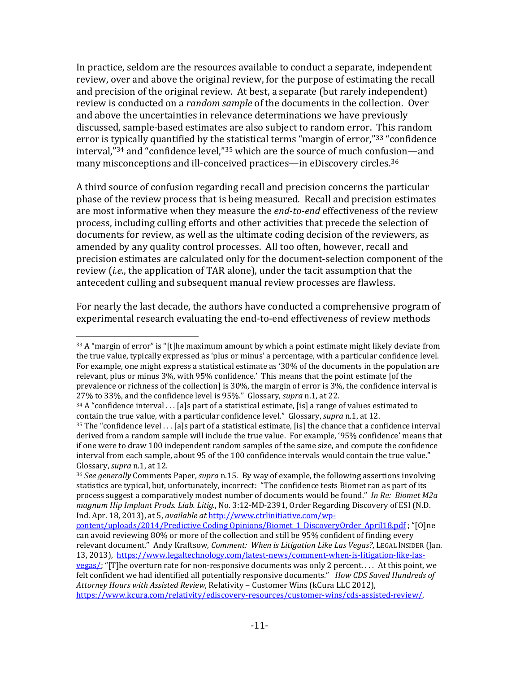In practice, seldom are the resources available to conduct a separate, independent review, over and above the original review, for the purpose of estimating the recall and precision of the original review. At best, a separate (but rarely independent) review is conducted on a *random sample* of the documents in the collection. Over and above the uncertainties in relevance determinations we have previously discussed, sample-based estimates are also subject to random error. This random error is typically quantified by the statistical terms "margin of error,"<sup>[33](#page-10-0)</sup> "confidence interval,"[34](#page-10-1) and "confidence level,["35](#page-10-2) which are the source of much confusion—and many misconceptions and ill-conceived practices—in eDiscovery circles.<sup>[36](#page-10-3)</sup>

A third source of confusion regarding recall and precision concerns the particular phase of the review process that is being measured. Recall and precision estimates are most informative when they measure the *end-to-end* effectiveness of the review process, including culling efforts and other activities that precede the selection of documents for review, as well as the ultimate coding decision of the reviewers, as amended by any quality control processes. All too often, however, recall and precision estimates are calculated only for the document-selection component of the review (*i.e.*, the application of TAR alone), under the tacit assumption that the antecedent culling and subsequent manual review processes are flawless.

For nearly the last decade, the authors have conducted a comprehensive program of experimental research evaluating the end-to-end effectiveness of review methods

<span id="page-10-0"></span><sup>&</sup>lt;sup>33</sup> A "margin of error" is "[t]he maximum amount by which a point estimate might likely deviate from the true value, typically expressed as 'plus or minus' a percentage, with a particular confidence level. For example, one might express a statistical estimate as '30% of the documents in the population are relevant, plus or minus 3%, with 95% confidence.' This means that the point estimate [of the prevalence or richness of the collection] is 30%, the margin of error is 3%, the confidence interval is 27% to 33%, and the confidence level is 95%." Glossary, *supra* n.1, at 22.

<span id="page-10-1"></span><sup>&</sup>lt;sup>34</sup> A "confidence interval . . . [a]s part of a statistical estimate, [is] a range of values estimated to contain the true value, with a particular confidence level." Glossary, *supra* n.1, at 12.

<span id="page-10-2"></span> $35$  The "confidence level . . . [a]s part of a statistical estimate, [is] the chance that a confidence interval derived from a random sample will include the true value. For example, '95% confidence' means that if one were to draw 100 independent random samples of the same size, and compute the confidence interval from each sample, about 95 of the 100 confidence intervals would contain the true value." Glossary, *supra* n.1, at 12.

<span id="page-10-3"></span><sup>36</sup> *See generally* Comments Paper, *supra* n.15. By way of example, the following assertions involving statistics are typical, but, unfortunately, incorrect: "The confidence tests Biomet ran as part of its process suggest a comparatively modest number of documents would be found." *In Re: Biomet M2a magnum Hip Implant Prods. Liab. Litig.*, No. 3:12-MD-2391, Order Regarding Discovery of ESI (N.D. Ind. Apr. 18, 2013), at 5, *available at* [http://www.ctrlinitiative.com/wp-](http://www.ctrlinitiative.com/wp-content/uploads/2014/Predictive%20Coding%20Opinions/Biomet_1_DiscoveryOrder_April18.pdf)

content/uploads/2014/Predictive Coding Opinions/Biomet 1 DiscoveryOrder April18.pdf ; "[O]ne can avoid reviewing 80% or more of the collection and still be 95% confident of finding every relevant document." Andy Kraftsow, *Comment: When is Litigation Like Las Vegas?*, LEGAL INSIDER (Jan. 13, 2013), [https://www.legaltechnology.com/latest-news/comment-when-is-litigation-like-las](https://www.legaltechnology.com/latest-news/comment-when-is-litigation-like-las-vegas/)[vegas/;](https://www.legaltechnology.com/latest-news/comment-when-is-litigation-like-las-vegas/) "[T]he overturn rate for non-responsive documents was only 2 percent. . . . At this point, we felt confident we had identified all potentially responsive documents." *How CDS Saved Hundreds of Attorney Hours with Assisted Review*, Relativity ‒ Customer Wins (kCura LLC 2012), [https://www.kcura.com/relativity/ediscovery-resources/customer-wins/cds-assisted-review/.](https://www.kcura.com/relativity/ediscovery-resources/customer-wins/cds-assisted-review/)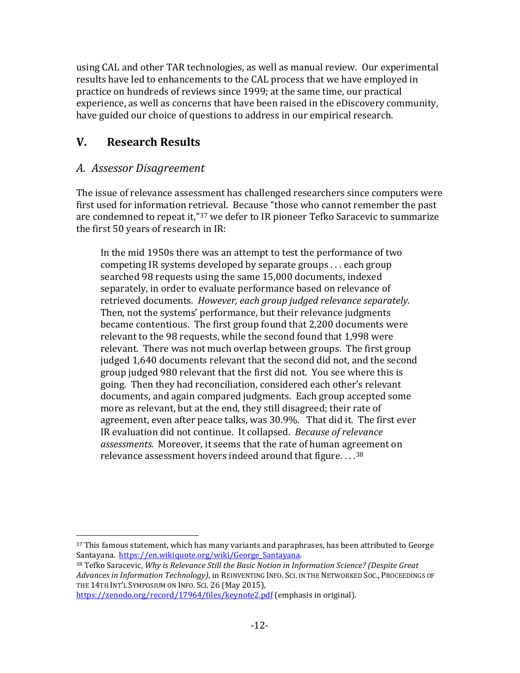using CAL and other TAR technologies, as well as manual review. Our experimental results have led to enhancements to the CAL process that we have employed in practice on hundreds of reviews since 1999; at the same time, our practical experience, as well as concerns that have been raised in the eDiscovery community, have guided our choice of questions to address in our empirical research.

# **V. Research Results**

### *A. Assessor Disagreement*

The issue of relevance assessment has challenged researchers since computers were first used for information retrieval. Because "those who cannot remember the past are condemned to repeat it,"[37](#page-11-0) we defer to IR pioneer Tefko Saracevic to summarize the first 50 years of research in IR:

In the mid 1950s there was an attempt to test the performance of two competing IR systems developed by separate groups . . . each group searched 98 requests using the same 15,000 documents, indexed separately, in order to evaluate performance based on relevance of retrieved documents. *However, each group judged relevance separately.* Then, not the systems' performance, but their relevance judgments became contentious. The first group found that 2,200 documents were relevant to the 98 requests, while the second found that 1,998 were relevant. There was not much overlap between groups. The first group judged 1,640 documents relevant that the second did not, and the second group judged 980 relevant that the first did not. You see where this is going. Then they had reconciliation, considered each other's relevant documents, and again compared judgments. Each group accepted some more as relevant, but at the end, they still disagreed; their rate of agreement, even after peace talks, was 30.9%. That did it. The first ever IR evaluation did not continue. It collapsed. *Because of relevance assessments.* Moreover, it seems that the rate of human agreement on relevance assessment hovers indeed around that figure... $38$ 

<span id="page-11-0"></span> <sup>37</sup> This famous statement, which has many variants and paraphrases, has been attributed to George Santayana. [https://en.wikiquote.org/wiki/George\\_Santayana.](https://en.wikiquote.org/wiki/George_Santayana)

<span id="page-11-1"></span><sup>38</sup> Tefko Saracevic, *Why is Relevance Still the Basic Notion in Information Science? (Despite Great Advances in Information Technology)*, in REINVENTING INFO. SCI. IN THE NETWORKED SOC., PROCEEDINGS OF THE 14TH INT'L SYMPOSIUM ON INFO. SCI. 26 (May 2015),

<https://zenodo.org/record/17964/files/keynote2.pdf> (emphasis in original).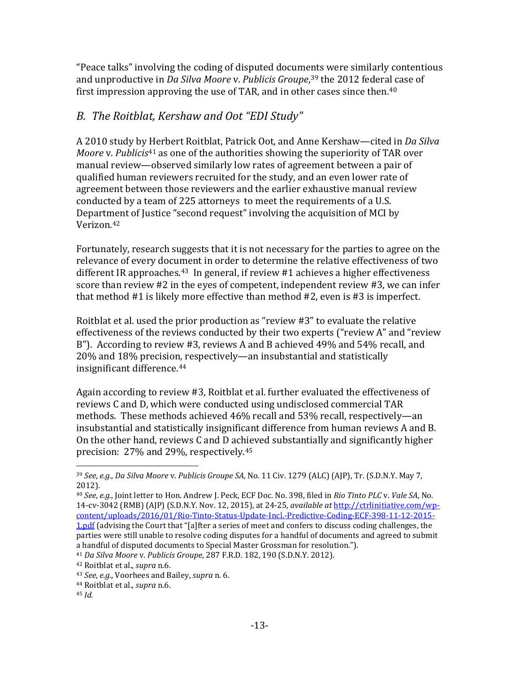"Peace talks" involving the coding of disputed docume[nt](#page-12-0)s were similarly contentious and unproductive in *Da Silva Moore* v. *Publicis Groupe*, <sup>39</sup> the 2012 federal case of first impression approving the use of TAR, and in other cases since then.<sup>[40](#page-12-1)</sup>

# *B. The Roitblat, Kershaw and Oot "EDI Study"*

A 2010 study by [He](#page-12-2)rbert Roitblat, Patrick Oot, and Anne Kershaw—cited in *Da Silva Moore* v. *Publicis*<sup>41</sup> as one of the authorities showing the superiority of TAR over manual review—observed similarly low rates of agreement between a pair of qualified human reviewers recruited for the study, and an even lower rate of agreement between those reviewers and the earlier exhaustive manual review conducted by a team of 225 attorneys to meet the requirements of a U.S. Department of Justice "second request" involving the acquisition of MCI by Verizon.[42](#page-12-3)

Fortunately, research suggests that it is not necessary for the parties to agree on the relevance of every document in order to determine the relative effectiveness of two different IR approaches. [43](#page-12-4) In general, if review #1 achieves a higher effectiveness score than review #2 in the eyes of competent, independent review #3, we can infer that method #1 is likely more effective than method #2, even is #3 is imperfect.

Roitblat et al. used the prior production as "review #3" to evaluate the relative effectiveness of the reviews conducted by their two experts ("review A" and "review B"). According to review #3, reviews A and B achieved 49% and 54% recall, and 20% and 18% precision, respectively—an insubstantial and statistically insignificant difference.[44](#page-12-5)

Again according to review #3, Roitblat et al. further evaluated the effectiveness of reviews C and D, which were conducted using undisclosed commercial TAR methods. These methods achieved 46% recall and 53% recall, respectively—an insubstantial and statistically insignificant difference from human reviews A and B. On the other hand, reviews C and D achieved substantially and significantly higher precision: 27% and 29%, respectively.[45](#page-12-6)

<span id="page-12-0"></span> <sup>39</sup> *See*, *e.g.*, *Da Silva Moore* v. *Publicis Groupe SA*, No. 11 Civ. 1279 (ALC) (AJP), Tr. (S.D.N.Y. May 7, 2012).

<span id="page-12-1"></span><sup>40</sup> *See*, *e.g.*, Joint letter to Hon. Andrew J. Peck, ECF Doc. No. 398, filed in *Rio Tinto PLC* v. *Vale SA*, No. 14-cv-3042 (RMB) (AJP) (S.D.N.Y. Nov. 12, 2015), at 24-25, *available at* [http://ctrlinitiative.com/wp](http://ctrlinitiative.com/wp-content/uploads/2016/01/Rio-Tinto-Status-Update-Incl.-Predictive-Coding-ECF-398-11-12-2015-1.pdf)[content/uploads/2016/01/Rio-Tinto-Status-Update-Incl.-Predictive-Coding-ECF-398-11-12-2015-](http://ctrlinitiative.com/wp-content/uploads/2016/01/Rio-Tinto-Status-Update-Incl.-Predictive-Coding-ECF-398-11-12-2015-1.pdf) [1.pdf](http://ctrlinitiative.com/wp-content/uploads/2016/01/Rio-Tinto-Status-Update-Incl.-Predictive-Coding-ECF-398-11-12-2015-1.pdf) (advising the Court that "[a]fter a series of meet and confers to discuss coding challenges, the

parties were still unable to resolve coding disputes for a handful of documents and agreed to submit a handful of disputed documents to Special Master Grossman for resolution.").

<span id="page-12-2"></span><sup>41</sup> *Da Silva Moore* v. *Publicis Groupe*, 287 F.R.D. 182, 190 (S.D.N.Y. 2012).

<span id="page-12-3"></span><sup>42</sup> Roitblat et al., *supra* n.6.

<span id="page-12-4"></span><sup>43</sup> *See*, *e.g.*, Voorhees and Bailey, *supra* n. 6.

<span id="page-12-5"></span><sup>44</sup> Roitblat et al., *supra* n.6.

<span id="page-12-6"></span><sup>45</sup> *Id.*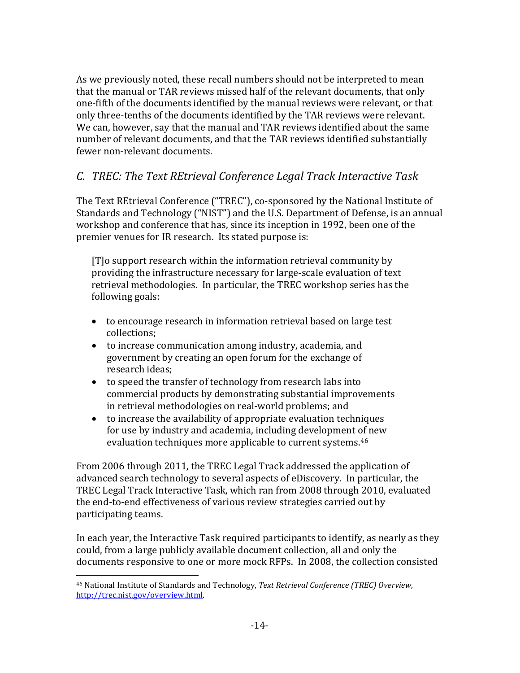As we previously noted, these recall numbers should not be interpreted to mean that the manual or TAR reviews missed half of the relevant documents, that only one-fifth of the documents identified by the manual reviews were relevant, or that only three-tenths of the documents identified by the TAR reviews were relevant. We can, however, say that the manual and TAR reviews identified about the same number of relevant documents, and that the TAR reviews identified substantially fewer non-relevant documents.

## *C. TREC: The Text REtrieval Conference Legal Track Interactive Task*

The Text REtrieval Conference ("TREC"), co-sponsored by the National Institute of Standards and Technology ("NIST") and the U.S. Department of Defense, is an annual workshop and conference that has, since its inception in 1992, been one of the premier venues for IR research. Its stated purpose is:

[T]o support research within the information retrieval community by providing the infrastructure necessary for large-scale evaluation of text retrieval methodologies. In particular, the TREC workshop series has the following goals:

- to encourage research in information retrieval based on large test collections;
- to increase communication among industry, academia, and government by creating an open forum for the exchange of research ideas;
- to speed the transfer of technology from research labs into commercial products by demonstrating substantial improvements in retrieval methodologies on real-world problems; and
- to increase the availability of appropriate evaluation techniques for use by industry and academia, including development of new evaluation techniques more applicable to current systems.[46](#page-13-0)

From 2006 through 2011, the TREC Legal Track addressed the application of advanced search technology to several aspects of eDiscovery. In particular, the TREC Legal Track Interactive Task, which ran from 2008 through 2010, evaluated the end-to-end effectiveness of various review strategies carried out by participating teams.

In each year, the Interactive Task required participants to identify, as nearly as they could, from a large publicly available document collection, all and only the documents responsive to one or more mock RFPs. In 2008, the collection consisted

<span id="page-13-0"></span> <sup>46</sup> National Institute of Standards and Technology, *Text Retrieval Conference (TREC) Overview*, [http://trec.nist.gov/overview.html.](http://trec.nist.gov/overview.html)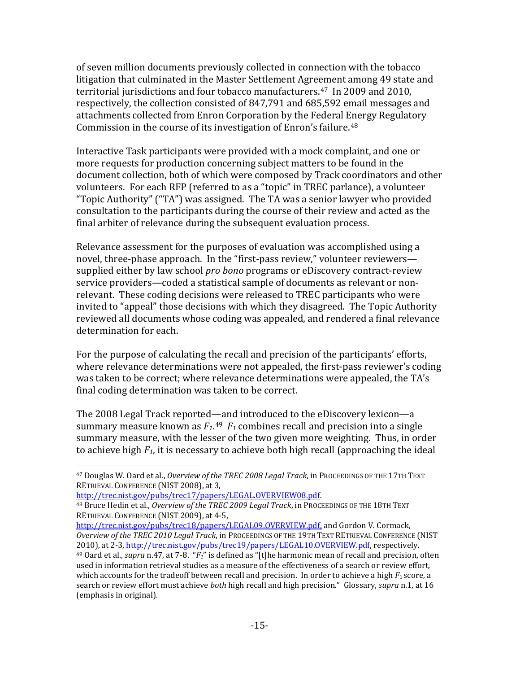of seven million documents previously collected in connection with the tobacco litigation that culminated in the Master Settlement Agreement among 49 state and territorial jurisdictions and four tobacco manufacturers.[47](#page-14-0) In 2009 and 2010, respectively, the collection consisted of 847,791 and 685,592 email messages and attachments collected from Enron Corporation by the Federal Energy Regulatory Commission in the course of its investigation of Enron's failure.[48](#page-14-1)

Interactive Task participants were provided with a mock complaint, and one or more requests for production concerning subject matters to be found in the document collection, both of which were composed by Track coordinators and other volunteers. For each RFP (referred to as a "topic" in TREC parlance), a volunteer "Topic Authority" ("TA") was assigned. The TA was a senior lawyer who provided consultation to the participants during the course of their review and acted as the final arbiter of relevance during the subsequent evaluation process.

Relevance assessment for the purposes of evaluation was accomplished using a novel, three-phase approach. In the "first-pass review," volunteer reviewers supplied either by law school *pro bono* programs or eDiscovery contract-review service providers—coded a statistical sample of documents as relevant or nonrelevant. These coding decisions were released to TREC participants who were invited to "appeal" those decisions with which they disagreed. The Topic Authority reviewed all documents whose coding was appealed, and rendered a final relevance determination for each.

For the purpose of calculating the recall and precision of the participants' efforts, where relevance determinations were not appealed, the first-pass reviewer's coding was taken to be correct; where relevance determinations were appealed, the TA's final coding determination was taken to be correct.

The 2008 Legal Track reported—and introduced to the eDiscovery lexicon—a summary measure known as  $F_1$ <sup>[49](#page-14-2)</sup>  $F_1$  combines recall and precision into a single summary measure, with the lesser of the two given more weighting. Thus, in order to achieve high *F1*, it is necessary to achieve both high recall (approaching the ideal

[http://trec.nist.gov/pubs/trec17/papers/LEGAL.OVERVIEW08.pdf.](http://trec.nist.gov/pubs/trec17/papers/LEGAL.OVERVIEW08.pdf)

<span id="page-14-0"></span> <sup>47</sup> Douglas W. Oard et al., *Overview of the TREC 2008 Legal Track*, in PROCEEDINGS OF THE 17TH TEXT RETRIEVAL CONFERENCE (NIST 2008), at 3,

<span id="page-14-1"></span><sup>48</sup> Bruce Hedin et al., *Overview of the TREC 2009 Legal Track*, in PROCEEDINGS OF THE 18TH TEXT RETRIEVAL CONFERENCE (NIST 2009), at 4-5,

<span id="page-14-2"></span>[http://trec.nist.gov/pubs/trec18/papers/LEGAL09.OVERVIEW.pdf,](http://trec.nist.gov/pubs/trec18/papers/LEGAL09.OVERVIEW.pdf) and Gordon V. Cormack, *Overview of the TREC 2010 Legal Track*, in PROCEEDINGS OF THE 19TH TEXT RETRIEVAL CONFERENCE (NIST<br>2010), at 2-3, http://trec.nist.gov/pubs/trec19/papers/LEGAL10.OVERVIEW.pdf, respectively. <sup>49</sup> Oard et al., *supra* n.47, at 7-8. *"F<sub>1</sub>"* is defined as "[t]he harmonic mean of recall and precision, often used in information retrieval studies as a measure of the effectiveness of a search or review effort, which accounts for the tradeoff between recall and precision. In order to achieve a high  $F_1$  score, a search or review effort must achieve *both* high recall and high precision." Glossary, *supra* n.1, at 16 (emphasis in original).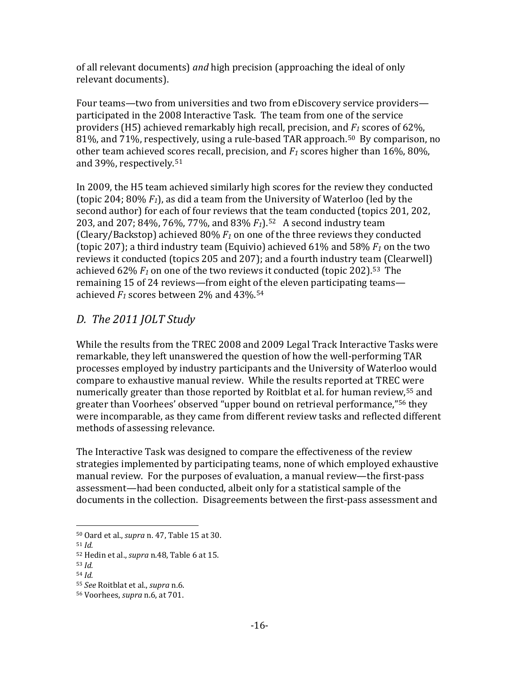of all relevant documents) *and* high precision (approaching the ideal of only relevant documents).

Four teams—two from universities and two from eDiscovery service providers participated in the 2008 Interactive Task. The team from one of the service providers (H5) achieved remarkably high recall, precision, and *F1* scores of 62%, 81%, and 71%, respectively, using a rule-based TAR approach.<sup>50</sup> By comparison, no other team achieved scores recall, precision, and  $F_1$  scores higher than 16%, 80%, and 39%, respectively.[51](#page-15-1)

In 2009, the H5 team achieved similarly high scores for the review they conducted (topic 204; 80% *F1*), as did a team from the University of Waterloo (led by the second author) for each of four reviews that the team conducted (topics 201, 202, 203, and 207; 84%, 76%, 77%, and 83% *F1*).[52](#page-15-2) A second industry team (Cleary/Backstop) achieved 80% *F1* on one of the three reviews they conducted (topic 207); a third industry team (Equivio) achieved 61% and 58% *F1* on the two reviews it conducted (topics 205 and 207); and a fourth industry team (Clearwell) achieved 62% *F1* on one of the two reviews it conducted (topic 202).[53](#page-15-3) The remaining 15 of 24 reviews—from eight of the eleven participating teams achieved  $F_1$  scores between 2% and 43%.<sup>[54](#page-15-4)</sup>

## *D. The 2011 JOLT Study*

While the results from the TREC 2008 and 2009 Legal Track Interactive Tasks were remarkable, they left unanswered the question of how the well-performing TAR processes employed by industry participants and the University of Waterloo would compare to exhaustive manual review. While the results reported at TREC were numerically greater than those reported by Roitblat et al. for human revie[w,](#page-15-6)<sup>[55](#page-15-5)</sup> and greater than Voorhees' observed "upper bound on retrieval performance,"56 they were incomparable, as they came from different review tasks and reflected different methods of assessing relevance.

The Interactive Task was designed to compare the effectiveness of the review strategies implemented by participating teams, none of which employed exhaustive manual review. For the purposes of evaluation, a manual review—the first-pass assessment—had been conducted, albeit only for a statistical sample of the documents in the collection. Disagreements between the first-pass assessment and

<span id="page-15-0"></span> <sup>50</sup> Oard et al., *supra* n. 47, Table 15 at 30.

<span id="page-15-1"></span><sup>51</sup> *Id.*

<span id="page-15-2"></span><sup>52</sup> Hedin et al., *supra* n.48, Table 6 at 15.

<span id="page-15-3"></span><sup>53</sup> *Id.*

<span id="page-15-4"></span><sup>54</sup> *Id.*

<span id="page-15-5"></span><sup>55</sup> *See* Roitblat et al., *supra* n.6.

<span id="page-15-6"></span><sup>56</sup> Voorhees, *supra* n.6, at 701.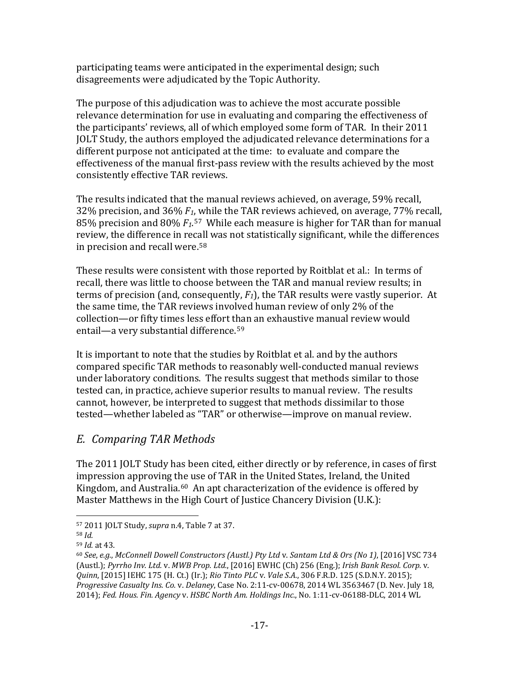participating teams were anticipated in the experimental design; such disagreements were adjudicated by the Topic Authority.

The purpose of this adjudication was to achieve the most accurate possible relevance determination for use in evaluating and comparing the effectiveness of the participants' reviews, all of which employed some form of TAR. In their 2011 JOLT Study, the authors employed the adjudicated relevance determinations for a different purpose not anticipated at the time: to evaluate and compare the effectiveness of the manual first-pass review with the results achieved by the most consistently effective TAR reviews.

The results indicated that the manual reviews achieved, on average, 59% recall, 32% precision, and 36% *F1*, while the TAR reviews achieved, on average, 77% recall, 85% precision and 80% *F1*.[57](#page-16-0) While each measure is higher for TAR than for manual review, the difference in recall was not statistically significant, while the differences in precision and recall were.[58](#page-16-1)

These results were consistent with those reported by Roitblat et al.: In terms of recall, there was little to choose between the TAR and manual review results; in terms of precision (and, consequently,  $F_1$ ), the TAR results were vastly superior. At the same time, the TAR reviews involved human review of only 2% of the collection—or fifty times less effort than an exhaustive manual review would entail—a very substantial difference.[59](#page-16-2)

It is important to note that the studies by Roitblat et al. and by the authors compared specific TAR methods to reasonably well-conducted manual reviews under laboratory conditions. The results suggest that methods similar to those tested can, in practice, achieve superior results to manual review. The results cannot, however, be interpreted to suggest that methods dissimilar to those tested—whether labeled as "TAR" or otherwise—improve on manual review.

## *E. Comparing TAR Methods*

The 2011 JOLT Study has been cited, either directly or by reference, in cases of first impression approving the use of TAR in the United States, Ireland, the United Kingdom, and Australia.<sup>60</sup> An apt characterization of the evidence is offered by Master Matthews in the High Court of Justice Chancery Division (U.K.):

<span id="page-16-0"></span> <sup>57</sup> 2011 JOLT Study, *supra* n.4, Table 7 at 37.

<span id="page-16-1"></span><sup>58</sup> *Id.*

<span id="page-16-2"></span><sup>59</sup> *Id.* at 43.

<span id="page-16-3"></span><sup>60</sup> *See*, *e.g.*, *McConnell Dowell Constructors (Austl.) Pty Ltd* v. *Santam Ltd & Ors (No 1)*, [2016] VSC 734 (Austl.); *Pyrrho Inv. Ltd.* v. *MWB Prop. Ltd.*, [2016] EWHC (Ch) 256 (Eng.); *Irish Bank Resol. Corp.* v. *Quinn*, [2015] IEHC 175 (H. Ct.) (Ir.); *Rio Tinto PLC* v. *Vale S.A.*, 306 F.R.D. 125 (S.D.N.Y. 2015); *Progressive Casualty Ins. Co.* v. *Delaney*, Case No. 2:11-cv-00678, 2014 WL 3563467 (D. Nev. July 18, 2014); *Fed. Hous. Fin. Agency* v. *HSBC North Am. Holdings Inc.*, No. 1:11-cv-06188-DLC, 2014 WL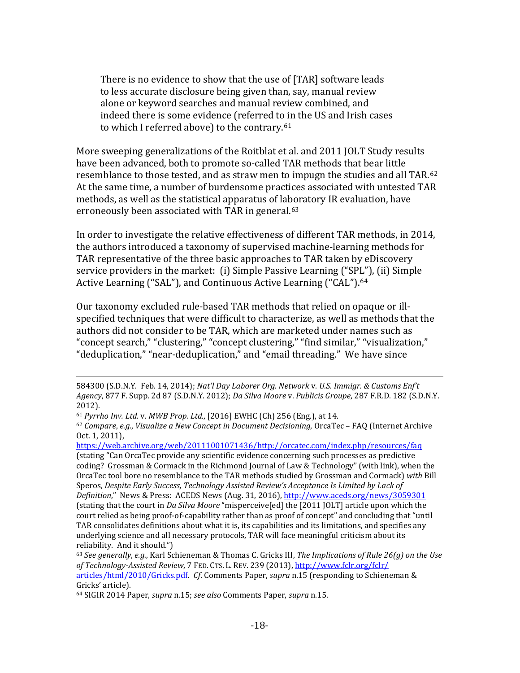There is no evidence to show that the use of [TAR] software leads to less accurate disclosure being given than, say, manual review alone or keyword searches and manual review combined, and indeed there is some evidence (referred to in the US and Irish cases to which I referred above) to the contrary.<sup>[61](#page-17-0)</sup>

More sweeping generalizations of the Roitblat et al. and 2011 JOLT Study results have been advanced, both to promote so-called TAR methods that bear little resemblance to those tested, and as straw men to impugn the studies and all TAR.<sup>[62](#page-17-1)</sup> At the same time, a number of burdensome practices associated with untested TAR methods, as well as the statistical apparatus of la[bor](#page-17-2)atory IR evaluation, have erroneously been associated with TAR in general. 63

In order to investigate the relative effectiveness of different TAR methods, in 2014, the authors introduced a taxonomy of supervised machine-learning methods for TAR representative of the three basic approaches to TAR taken by eDiscovery service providers in the market: (i) Simple Passive Learning ("SPL"), (ii) Simple Active Learning ("SAL"), and Continuous Active Learning ("CAL").<sup>64</sup>

Our taxonomy excluded rule-based TAR methods that relied on opaque or illspecified techniques that were difficult to characterize, as well as methods that the authors did not consider to be TAR, which are marketed under names such as "concept search," "clustering," "concept clustering," "find similar," "visualization," "deduplication," "near-deduplication," and "email threading." We have since

[https://web.archive.org/web/20111001071436/http://orcatec.com/index.php/resources/faq](https://web.archive.org/web/20111001071436/http:/orcatec.com/index.php/resources/faq) (stating "Can OrcaTec provide any scientific evidence concerning such processes as predictive coding? Grossman & Cormack in the Richmond Journal of Law & Technology" (with link), when the OrcaTec tool bore no resemblance to the TAR methods studied by Grossman and Cormack) *with* Bill Speros, *Despite Early Success, Technology Assisted Review's Acceptance Is Limited by Lack of Definition*," News & Press: ACEDS News (Aug. 31, 2016)[, http://www.aceds.org/news/3059301](http://www.aceds.org/news/3059301) (stating that the court in *Da Silva Moore* "misperceive[ed] the [2011 JOLT] article upon which the court relied as being proof-of-capability rather than as proof of concept" and concluding that "until TAR consolidates definitions about what it is, its capabilities and its limitations, and specifies any underlying science and all necessary protocols, TAR will face meaningful criticism about its reliability. And it should.")

i<br>I 584300 (S.D.N.Y. Feb. 14, 2014); *Nat'l Day Laborer Org. Network* v. *U.S. Immigr. & Customs Enf't Agency*, 877 F. Supp. 2d 87 (S.D.N.Y. 2012); *Da Silva Moore* v. *Publicis Groupe*, 287 F.R.D. 182 (S.D.N.Y. 2012).

<span id="page-17-0"></span><sup>61</sup> *Pyrrho Inv. Ltd.* v. *MWB Prop. Ltd.*, [2016] EWHC (Ch) 256 (Eng.), at 14.

<span id="page-17-1"></span><sup>62</sup> *Compare*, *e.g.*, *Visualize a New Concept in Document Decisioning*, OrcaTec – FAQ (Internet Archive Oct. 1, 2011),

<span id="page-17-2"></span><sup>63</sup> *See generally*, *e.g.*, Karl Schieneman & Thomas C. Gricks III, *The Implications of Rule 26(g) on the Use of Technology-Assisted Review*, 7 FED. CTS. L. REV. 239 (2013)[, http://www.fclr.org/fclr/](http://www.fclr.org/fclr/articles/html/2010/Gricks.pdf)

[articles/html/2010/Gricks.pdf.](http://www.fclr.org/fclr/articles/html/2010/Gricks.pdf) *Cf*. Comments Paper, *supra* n.15 (responding to Schieneman & Gricks' article).

<span id="page-17-3"></span><sup>64</sup> SIGIR 2014 Paper, *supra* n.15; *see also* Comments Paper, *supra* n.15.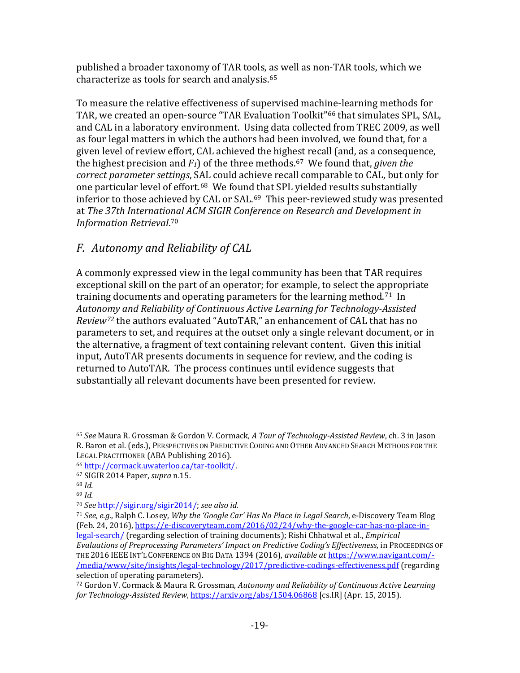published a broader taxonomy of TAR tools, as well as non-TAR tools, which we characterize as tools for search and analysis.[65](#page-18-0)

To measure the relative effectiveness of supervised machine-learning methods for TAR, we created an open-source "TAR Evaluation Toolkit"<sup>[66](#page-18-1)</sup> that simulates SPL, SAL, and CAL in a laboratory environment. Using data collected from TREC 2009, as well as four legal matters in which the authors had been involved, we found that, for a given level of review effort, CAL achieved the highest recall (and, as a consequence, the highest precision and *F1*) of the three methods.[67](#page-18-2) We found that, *given the correct parameter settings*, SAL could achieve recall comparable to CAL, but only for one particular level of effort.[68](#page-18-3) We foun[d th](#page-18-4)at SPL yielded results substantially inferior to those achieved by CAL or SAL.<sup>69</sup> This peer-reviewed study was presented at *The 37th Internatio[na](#page-18-5)l ACM SIGIR Conference on Research and Development in Information Retrieval*. 70

## *F. Autonomy and Reliability of CAL*

A commonly expressed view in the legal community has been that TAR requires exceptional skill on the part of an operator; for example, to select the appropriate training documents and operating parameters for the learning method.[71](#page-18-6) In *Autonomy and Reliability of Continuous Active Learning for Technology-Assisted Review[72](#page-18-7)* the authors evaluated "AutoTAR," an enhancement of CAL that has no parameters to set, and requires at the outset only a single relevant document, or in the alternative, a fragment of text containing relevant content. Given this initial input, AutoTAR presents documents in sequence for review, and the coding is returned to AutoTAR. The process continues until evidence suggests that substantially all relevant documents have been presented for review.

<span id="page-18-0"></span> <sup>65</sup> *See* Maura R. Grossman & Gordon V. Cormack, *A Tour of Technology-Assisted Review*, ch. 3 in Jason R. Baron et al. (eds.), PERSPECTIVES ON PREDICTIVE CODING AND OTHER ADVANCED SEARCH METHODS FOR THE LEGAL PRACTITIONER (ABA Publishing 2016).

<span id="page-18-1"></span><sup>&</sup>lt;sup>[6](http://cormack.uwaterloo.ca/tar-toolkit/)6</sup> http://cormack.uwaterloo.ca/tar-toolkit/.

<span id="page-18-3"></span><span id="page-18-2"></span><sup>67</sup> SIGIR <sup>2014</sup> Paper, *supra* n.15. 68 *Id.*

<span id="page-18-4"></span><sup>69</sup> *Id.* 

<span id="page-18-5"></span><sup>70</sup> *See* [http://sigir.org/sigir2014/;](http://sigir.org/sigir2014/) *see also id.*

<span id="page-18-6"></span><sup>71</sup> *See*, *e.g.*, Ralph C. Losey, *Why the 'Google Car' Has No Place in Legal Search*, e-Discovery Team Blog (Feb. 24, 2016)[, https://e-discoveryteam.com/2016/02/24/why-the-google-car-has-no-place-in](https://e-discoveryteam.com/2016/02/24/why-the-google-car-has-no-place-in-legal-search/)[legal-search/](https://e-discoveryteam.com/2016/02/24/why-the-google-car-has-no-place-in-legal-search/) (regarding selection of training documents); Rishi Chhatwal et al., *Empirical Evaluations of Preprocessing Parameters' Impact on Predictive Coding's Effectiveness*, in PROCEEDINGS OF THE 2016 IEEE INT'L CONFERENCE ON BIG DATA 1394 (2016), *available at* [https://www.navigant.com/-](https://www.navigant.com/-/media/www/site/insights/legal-technology/2017/predictive-codings-effectiveness.pdf) [/media/www/site/insights/legal-technology/2017/predictive-codings-effectiveness.pdf](https://www.navigant.com/-/media/www/site/insights/legal-technology/2017/predictive-codings-effectiveness.pdf) (regarding selection of operating parameters).

<span id="page-18-7"></span><sup>72</sup> Gordon V. Cormack & Maura R. Grossman, *Autonomy and Reliability of Continuous Active Learning for Technology-Assisted Review*,<https://arxiv.org/abs/1504.06868> [cs.IR] (Apr. 15, 2015).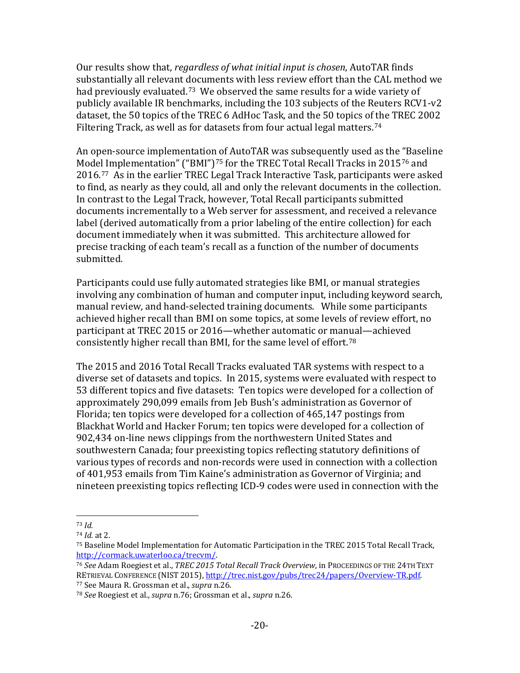Our results show that, *regardless of what initial input is chosen*, AutoTAR finds substantially all relevant documents with less review effort than the CAL method we had previously evaluated.<sup>73</sup> We observed the same results for a wide variety of publicly available IR benchmarks, including the 103 subjects of the Reuters RCV1-v2 dataset, the 50 topics of the TREC 6 AdHoc Task, and the 50 topics of the TREC 2002 Filtering Track, as well as for datasets from four actual legal matters.<sup>[74](#page-19-1)</sup>

An open-source implementation of AutoTAR was subsequently used as the "Baseline Model Implementation" ("BMI")<sup>[75](#page-19-2)</sup> for the TREC Total Recall Tracks in 2015<sup>[76](#page-19-3)</sup> and 2016.[77](#page-19-4) As in the earlier TREC Legal Track Interactive Task, participants were asked to find, as nearly as they could, all and only the relevant documents in the collection. In contrast to the Legal Track, however, Total Recall participants submitted documents incrementally to a Web server for assessment, and received a relevance label (derived automatically from a prior labeling of the entire collection) for each document immediately when it was submitted. This architecture allowed for precise tracking of each team's recall as a function of the number of documents submitted.

Participants could use fully automated strategies like BMI, or manual strategies involving any combination of human and computer input, including keyword search, manual review, and hand-selected training documents. While some participants achieved higher recall than BMI on some topics, at some levels of review effort, no participant at TREC 2015 or 2016—whether automatic or manual—achieved consistently higher recall than BMI, for the same level of effort.[78](#page-19-5)

The 2015 and 2016 Total Recall Tracks evaluated TAR systems with respect to a diverse set of datasets and topics. In 2015, systems were evaluated with respect to 53 different topics and five datasets: Ten topics were developed for a collection of approximately 290,099 emails from Jeb Bush's administration as Governor of Florida; ten topics were developed for a collection of 465,147 postings from Blackhat World and Hacker Forum; ten topics were developed for a collection of 902,434 on-line news clippings from the northwestern United States and southwestern Canada; four preexisting topics reflecting statutory definitions of various types of records and non-records were used in connection with a collection of 401,953 emails from Tim Kaine's administration as Governor of Virginia; and nineteen preexisting topics reflecting ICD-9 codes were used in connection with the

<span id="page-19-0"></span> <sup>73</sup> *Id.*

<span id="page-19-1"></span><sup>74</sup> *Id.* at 2.

<span id="page-19-2"></span><sup>75</sup> Baseline Model Implementation for Automatic Participation in the TREC 2015 Total Recall Track, [http://cormack.uwaterloo.ca/trecvm/.](http://cormack.uwaterloo.ca/trecvm/)

<span id="page-19-3"></span><sup>76</sup> *See* Adam Roegiest et al., *TREC 2015 Total Recall Track Overview*, in PROCEEDINGS OF THE 24TH TEXT RETRIEVAL CONFERENCE (NIST 2015), [http://trec.nist.gov/pubs/trec24/papers/Overview-TR.pdf.](http://trec.nist.gov/pubs/trec24/papers/Overview-TR.pdf) <sup>77</sup> See Maura R. Grossman et al., *supra* n.26.

<span id="page-19-5"></span><span id="page-19-4"></span><sup>78</sup> *See* Roegiest et al., *supra* n.76; Grossman et al., *supra* n.26.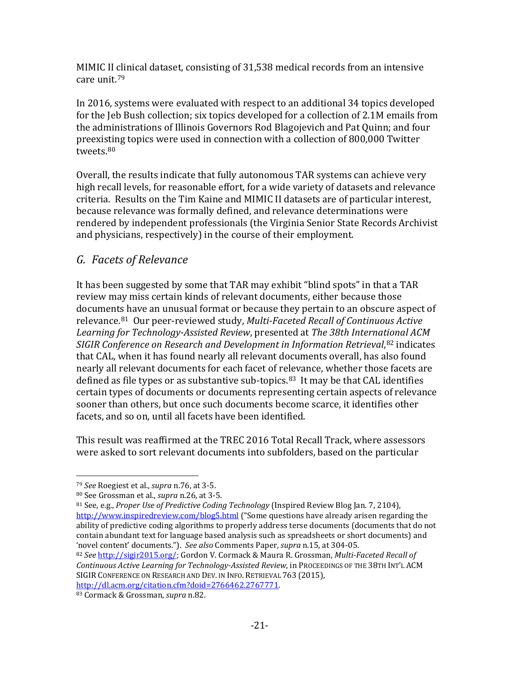MIMIC II [cli](#page-20-0)nical dataset, consisting of 31,538 medical records from an intensive care unit. 79

In 2016, systems were evaluated with respect to an additional 34 topics developed for the Jeb Bush collection; six topics developed for a collection of 2.1M emails from the administrations of Illinois Governors Rod Blagojevich and Pat Quinn; and four preexisting topics were used in connection with a collection of 800,000 Twitter tweets.[80](#page-20-1)

Overall, the results indicate that fully autonomous TAR systems can achieve very high recall levels, for reasonable effort, for a wide variety of datasets and relevance criteria. Results on the Tim Kaine and MIMIC II datasets are of particular interest, because relevance was formally defined, and relevance determinations were rendered by independent professionals (the Virginia Senior State Records Archivist and physicians, respectively) in the course of their employment.

### *G. Facets of Relevance*

It has been suggested by some that TAR may exhibit "blind spots" in that a TAR review may miss certain kinds of relevant documents, either because those documents have an unusual format or because they pertain to an obscure aspect of relevance.[81](#page-20-2) Our peer-reviewed study, *Multi-Faceted Recall of Continuous Active Learning for Technology-Assisted Review*, presented at *The 38th Interna[tio](#page-20-3)nal ACM SIGIR Conference on Research and Development in Information Retrieval*, <sup>82</sup> indicates that CAL, when it has found nearly all relevant documents overall, has also found nearly all relevant documents for each facet of relevance, whether those facets are defined as file types or as substantive sub-topics. $83$  It may be that CAL identifies certain types of documents or documents representing certain aspects of relevance sooner than others, but once such documents become scarce, it identifies other facets, and so on, until all facets have been identified.

This result was reaffirmed at the TREC 2016 Total Recall Track, where assessors were asked to sort relevant documents into subfolders, based on the particular

<span id="page-20-3"></span><sup>82</sup> *See* [http://sigir2015.org/;](http://sigir2015.org/) Gordon V. Cormack & Maura R. Grossman, *Multi-Faceted Recall of Continuous Active Learning for Technology-Assisted Review*, in PROCEEDINGS OF THE 38TH INT'L ACM SIGIR CONFERENCE ON RESEARCH AND DEV. IN INFO. RETRIEVAL 763 (2015), [http://dl.acm.org/citation.cfm?doid=2766462.2767771.](http://dl.acm.org/citation.cfm?doid=2766462.2767771)

<span id="page-20-0"></span> <sup>79</sup> *See* Roegiest et al., *supra* n.76, at 3-5.

<span id="page-20-1"></span><sup>80</sup> See Grossman et al., *supra* n.26, at 3-5.

<span id="page-20-2"></span><sup>81</sup> See, e.g., *Proper Use of Predictive Coding Technology* (Inspired Review Blog Jan. 7, 2104), <http://www.inspiredreview.com/blog5.html> ("Some questions have already arisen regarding the ability of predictive coding algorithms to properly address terse documents (documents that do not contain abundant text for language based analysis such as spreadsheets or short documents) and 'novel content' documents."). *See also* Comments Paper, *supra* n.15, at 304-05.

<span id="page-20-4"></span><sup>83</sup> Cormack & Grossman, *supra* n.82.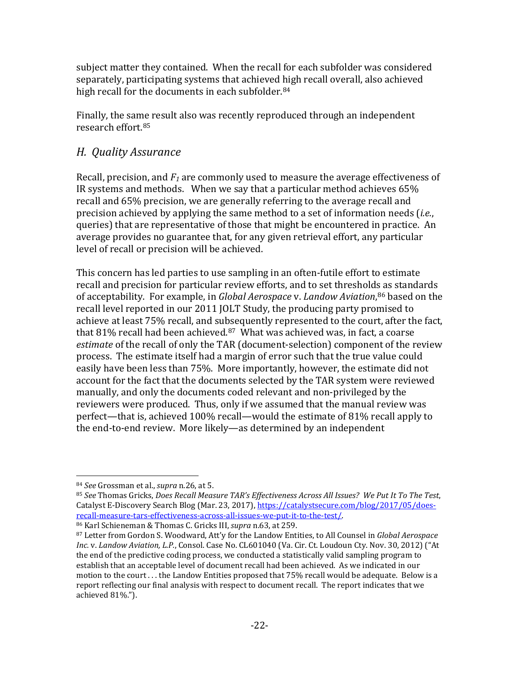subject matter they contained. When the recall for each subfolder was considered separately, participating systems that achieved high recall overall, also achieved high recall for the documents in each subfolder.<sup>[84](#page-21-0)</sup>

Finally, the same result also was recently reproduced through an independent research effort.[85](#page-21-1)

### *H. Quality Assurance*

Recall, precision, and *F1* are commonly used to measure the average effectiveness of IR systems and methods. When we say that a particular method achieves 65% recall and 65% precision, we are generally referring to the average recall and precision achieved by applying the same method to a set of information needs (*i.e.*, queries) that are representative of those that might be encountered in practice. An average provides no guarantee that, for any given retrieval effort, any particular level of recall or precision will be achieved.

This concern has led parties to use sampling in an often-futile effort to estimate recall and precision for particular review efforts, and to set threshold[s a](#page-21-2)s standards of acceptability. For example, in *Global Aerospace* v. *Landow Aviation*, <sup>86</sup> based on the recall level reported in our 2011 JOLT Study, the producing party promised to achieve at least 75% recall, and subsequently represented to the court, after the fact, that  $81\%$  recall had been achieved.<sup>87</sup> What was achieved was, in fact, a coarse *estimate* of the recall of only the TAR (document-selection) component of the review process. The estimate itself had a margin of error such that the true value could easily have been less than 75%. More importantly, however, the estimate did not account for the fact that the documents selected by the TAR system were reviewed manually, and only the documents coded relevant and non-privileged by the reviewers were produced. Thus, only if we assumed that the manual review was perfect—that is, achieved 100% recall—would the estimate of 81% recall apply to the end-to-end review. More likely—as determined by an independent

<span id="page-21-1"></span><span id="page-21-0"></span> <sup>84</sup> *See* Grossman et al., *supra* n.26, at 5.

<sup>85</sup> *See* Thomas Gricks, *Does Recall Measure TAR's Effectiveness Across All Issues? We Put It To The Test*, Catalyst E-Discovery Search Blog (Mar. 23, 2017), https://catalystsecure.com/blog/2017/05/does-<br>recall-measure-tars-effectiveness-across-all-issues-we-put-it-to-the-test/.

<span id="page-21-2"></span><sup>&</sup>lt;sup>86</sup> Karl Schieneman & Thomas C. Gricks III, *supra* n.63, at 259.

<span id="page-21-3"></span><sup>87</sup> Letter from Gordon S. Woodward, Att'y for the Landow Entities, to All Counsel in *Global Aerospace Inc.* v. *Landow Aviation, L.P.*, Consol. Case No. CL601040 (Va. Cir. Ct. Loudoun Cty. Nov. 30, 2012) ("At the end of the predictive coding process, we conducted a statistically valid sampling program to establish that an acceptable level of document recall had been achieved. As we indicated in our motion to the court . . . the Landow Entities proposed that 75% recall would be adequate. Below is a report reflecting our final analysis with respect to document recall. The report indicates that we achieved 81%.").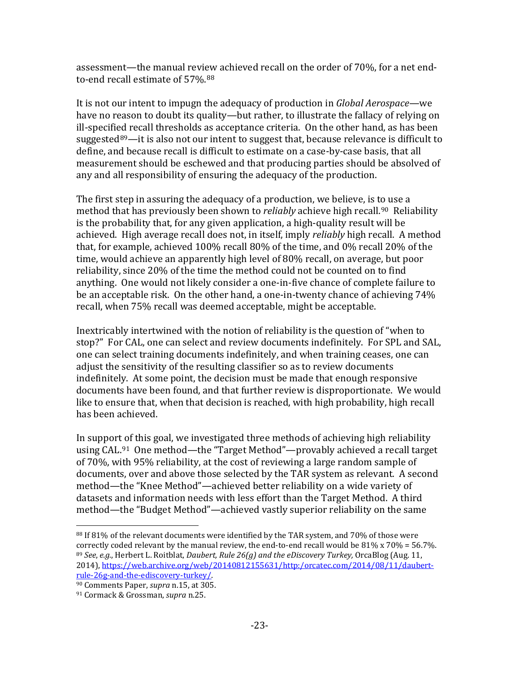assessment—the manual review achieved recall on the order of 70%, for a net end-to-end recall estimate of 57%.<sup>[88](#page-22-0)</sup>

It is not our intent to impugn the adequacy of production in *Global Aerospace*—we have no reason to doubt its quality—but rather, to illustrate the fallacy of relying on ill-specified recall thresholds as acceptance criteria. On the other hand, as has been suggested $89$ —it is also not our intent to suggest that, because relevance is difficult to define, and because recall is difficult to estimate on a case-by-case basis, that all measurement should be eschewed and that producing parties should be absolved of any and all responsibility of ensuring the adequacy of the production.

The first step in assuring the adequacy of a production, we believe, is to use a method that has previously been shown to *reliably* achieve high recall.[90](#page-22-2) Reliability is the probability that, for any given application, a high-quality result will be achieved. High average recall does not, in itself, imply *reliably* high recall. A method that, for example, achieved 100% recall 80% of the time, and 0% recall 20% of the time, would achieve an apparently high level of 80% recall, on average, but poor reliability, since 20% of the time the method could not be counted on to find anything. One would not likely consider a one-in-five chance of complete failure to be an acceptable risk. On the other hand, a one-in-twenty chance of achieving 74% recall, when 75% recall was deemed acceptable, might be acceptable.

Inextricably intertwined with the notion of reliability is the question of "when to stop?" For CAL, one can select and review documents indefinitely. For SPL and SAL, one can select training documents indefinitely, and when training ceases, one can adjust the sensitivity of the resulting classifier so as to review documents indefinitely. At some point, the decision must be made that enough responsive documents have been found, and that further review is disproportionate. We would like to ensure that, when that decision is reached, with high probability, high recall has been achieved.

In support of this goal, we investigated three methods of achieving high reliability using CAL.[91](#page-22-3) One method—the "Target Method"—provably achieved a recall target of 70%, with 95% reliability, at the cost of reviewing a large random sample of documents, over and above those selected by the TAR system as relevant. A second method—the "Knee Method"—achieved better reliability on a wide variety of datasets and information needs with less effort than the Target Method. A third method—the "Budget Method"—achieved vastly superior reliability on the same

<span id="page-22-1"></span><span id="page-22-0"></span><sup>88</sup> If 81% of the relevant documents were identified by the TAR system, and 70% of those were correctly coded relevant by the manual review, the end-to-end recall would be  $81\% \times 70\% = 56.7\%$ . <sup>89</sup> *See*, *e.g.*, Herbert L. Roitblat, *Daubert, Rule 26(g) and the eDiscovery Turkey,* OrcaBlog (Aug. 11, 2014), [https://web.archive.org/web/20140812155631/http:/orcatec.com/2014/08/11/daubert](https://web.archive.org/web/20140812155631/http:/orcatec.com/2014/08/11/daubert-rule-26g-and-the-ediscovery-turkey/)[rule-26g-and-the-ediscovery-turkey/.](https://web.archive.org/web/20140812155631/http:/orcatec.com/2014/08/11/daubert-rule-26g-and-the-ediscovery-turkey/)

<span id="page-22-2"></span><sup>90</sup> Comments Paper, *supra* n.15, at 305.

<span id="page-22-3"></span><sup>91</sup> Cormack & Grossman, *supra* n.25.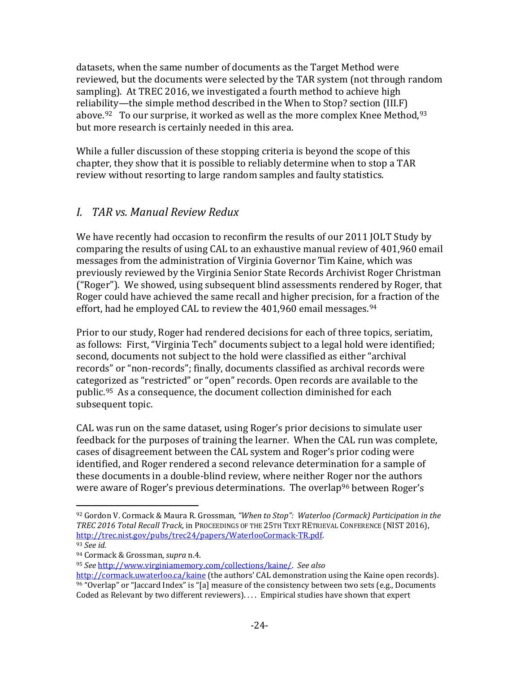datasets, when the same number of documents as the Target Method were reviewed, but the documents were selected by the TAR system (not through random sampling). At TREC 2016, we investigated a fourth method to achieve high reliability—the simple method described in the When to Stop? section (III.F) above.<sup>92</sup> To our surprise, it worked as well as the more complex Knee Method,  $93$ but more research is certainly needed in this area.

While a fuller discussion of these stopping criteria is beyond the scope of this chapter, they show that it is possible to reliably determine when to stop a TAR review without resorting to large random samples and faulty statistics.

# *I. TAR vs. Manual Review Redux*

We have recently had occasion to reconfirm the results of our 2011 JOLT Study by comparing the results of using CAL to an exhaustive manual review of 401,960 email messages from the administration of Virginia Governor Tim Kaine, which was previously reviewed by the Virginia Senior State Records Archivist Roger Christman ("Roger"). We showed, using subsequent blind assessments rendered by Roger, that Roger could have achieved the same recall and higher precision, for a fraction of the effort, had he employed CAL to review the 401,960 email messages.<sup>[94](#page-23-2)</sup>

Prior to our study, Roger had rendered decisions for each of three topics, seriatim, as follows: First, "Virginia Tech" documents subject to a legal hold were identified; second, documents not subject to the hold were classified as either "archival records" or "non-records"; finally, documents classified as archival records were categorized as "restricted" or "open" records. Open records are available to the public.[95](#page-23-3) As a consequence, the document collection diminished for each subsequent topic.

CAL was run on the same dataset, using Roger's prior decisions to simulate user feedback for the purposes of training the learner. When the CAL run was complete, cases of disagreement between the CAL system and Roger's prior coding were identified, and Roger rendered a second relevance determination for a sample of these documents in a double-blind review, where neither Roger nor the authors were aware of Roger's previous determinations. The overlap<sup>[96](#page-23-4)</sup> between Roger's

<span id="page-23-0"></span> <sup>92</sup> Gordon V. Cormack & Maura R. Grossman, *"When to Stop": Waterloo (Cormack) Participation in the TREC 2016 Total Recall Track*, in PROCEEDINGS OF THE 25TH TEXT RETRIEVAL CONFERENCE (NIST 2016), [http://trec.nist.gov/pubs/trec24/papers/WaterlooCormack-TR.pdf.](http://trec.nist.gov/pubs/trec24/papers/WaterlooCormack-TR.pdf)

<span id="page-23-1"></span><sup>93</sup> *See id.*

<span id="page-23-3"></span><span id="page-23-2"></span><sup>94</sup> Cormack & Grossman, *supra* n.4.

<sup>95</sup> *See* [http://www.virginiamemory.com/collections/kaine/.](http://www.virginiamemory.com/collections/kaine/) *See also*

<span id="page-23-4"></span><http://cormack.uwaterloo.ca/kaine> (the authors' CAL demonstration using the Kaine open records).  $96$  "Overlap" or "Jaccard Index" is "[a] measure of the consistency between two sets (e.g., Documents Coded as Relevant by two different reviewers). . . . Empirical studies have shown that expert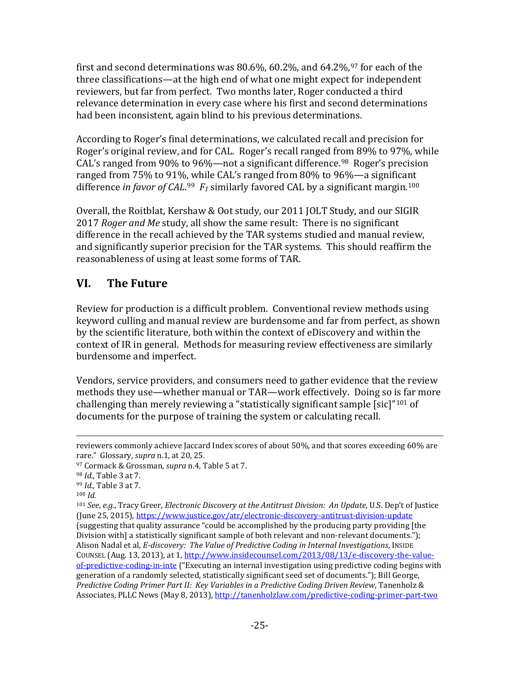first and second determinations was  $80.6\%$ ,  $60.2\%$ , and  $64.2\%$ ,  $97$  for each of the three classifications—at the high end of what one might expect for independent reviewers, but far from perfect. Two months later, Roger conducted a third relevance determination in every case where his first and second determinations had been inconsistent, again blind to his previous determinations.

According to Roger's final determinations, we calculated recall and precision for Roger's original review, and for CAL. Roger's recall ranged from 89% to 97%, while CAL's ranged from 90% to 96%—not a significant difference.<sup>98</sup> Roger's precision ranged from 75% to 91%, while CAL's ranged from 80% to 96%—a significant difference *in favor of CAL*.<sup>99</sup>  $F_1$  similarly favored CAL by a significant margin.<sup>[100](#page-24-3)</sup>

Overall, the Roitblat, Kershaw & Oot study, our 2011 JOLT Study, and our SIGIR 2017 *Roger and Me* study, all show the same result: There is no significant difference in the recall achieved by the TAR systems studied and manual review, and significantly superior precision for the TAR systems. This should reaffirm the reasonableness of using at least some forms of TAR.

# **VI. The Future**

Review for production is a difficult problem. Conventional review methods using keyword culling and manual review are burdensome and far from perfect, as shown by the scientific literature, both within the context of eDiscovery and within the context of IR in general. Methods for measuring review effectiveness are similarly burdensome and imperfect.

Vendors, service providers, and consumers need to gather evidence that the review methods they use—whether manual or TAR—work effectively. Doing so is far more challenging than merely reviewing a "statistically significant sample [sic]"[101](#page-24-4) of documents for the purpose of training the system or calculating recall.

i<br>I reviewers commonly achieve Jaccard Index scores of about 50%, and that scores exceeding 60% are rare." Glossary, *supra* n.1, at 20, 25.

<span id="page-24-0"></span><sup>97</sup> Cormack & Grossman, *supra* n.4, Table 5 at 7.

<span id="page-24-1"></span><sup>98</sup> *Id.*, Table 3 at 7.

<span id="page-24-2"></span><sup>99</sup> *Id.*, Table 3 at 7.

<span id="page-24-3"></span><sup>100</sup> *Id.*

<span id="page-24-4"></span><sup>101</sup> *See*, *e.g.*, Tracy Greer, *Electronic Discovery at the Antitrust Division: An Update*, U.S. Dep't of Justice (June 25, 2015)[, https://www.justice.gov/atr/electronic-discovery-antitrust-division-update](https://www.justice.gov/atr/electronic-discovery-antitrust-division-update) (suggesting that quality assurance "could be accomplished by the producing party providing [the Division with] a statistically significant sample of both relevant and non-relevant documents."); Alison Nadal et al, *E-discovery: The Value of Predictive Coding in Internal Investigations*, INSIDE COUNSEL (Aug. 13, 2013), at 1, [http://www.insidecounsel.com/2013/08/13/e-discovery-the-value](http://www.insidecounsel.com/2013/08/13/e-discovery-the-value-of-predictive-coding-in-inte)[of-predictive-coding-in-inte](http://www.insidecounsel.com/2013/08/13/e-discovery-the-value-of-predictive-coding-in-inte) ("Executing an internal investigation using predictive coding begins with generation of a randomly selected, statistically significant seed set of documents."); Bill George, *Predictive Coding Primer Part II: Key Variables in a Predictive Coding Driven Review*, Tanenholz & Associates, PLLC News (May 8, 2013)[, http://tanenholzlaw.com/predictive-coding-primer-part-two](http://tanenholzlaw.com/predictive-coding-primer-part-two)